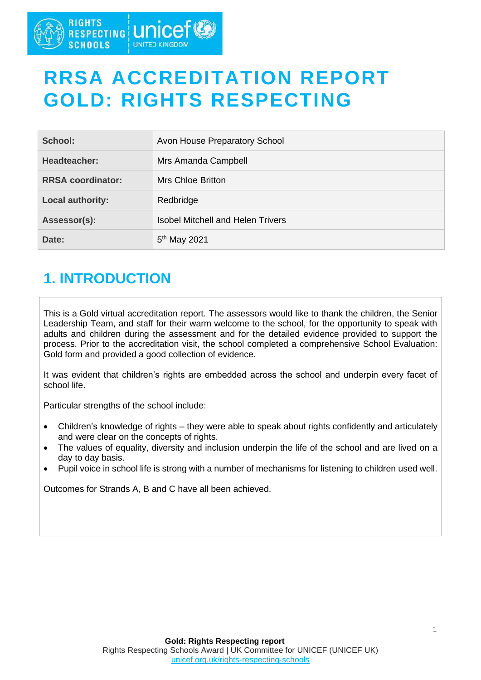

# **RRSA ACCREDITATION REPORT GOLD: RIGHTS RESPECTING**

| School:                  | Avon House Preparatory School            |
|--------------------------|------------------------------------------|
| Headteacher:             | Mrs Amanda Campbell                      |
| <b>RRSA coordinator:</b> | Mrs Chloe Britton                        |
| <b>Local authority:</b>  | Redbridge                                |
| Assessor(s):             | <b>Isobel Mitchell and Helen Trivers</b> |
| Date:                    | 5 <sup>th</sup> May 2021                 |

## **1. INTRODUCTION**

This is a Gold virtual accreditation report. The assessors would like to thank the children, the Senior Leadership Team, and staff for their warm welcome to the school, for the opportunity to speak with adults and children during the assessment and for the detailed evidence provided to support the process. Prior to the accreditation visit, the school completed a comprehensive School Evaluation: Gold form and provided a good collection of evidence.

It was evident that children's rights are embedded across the school and underpin every facet of school life.

Particular strengths of the school include:

- Children's knowledge of rights they were able to speak about rights confidently and articulately and were clear on the concepts of rights.
- The values of equality, diversity and inclusion underpin the life of the school and are lived on a day to day basis.
- Pupil voice in school life is strong with a number of mechanisms for listening to children used well.

Outcomes for Strands A, B and C have all been achieved.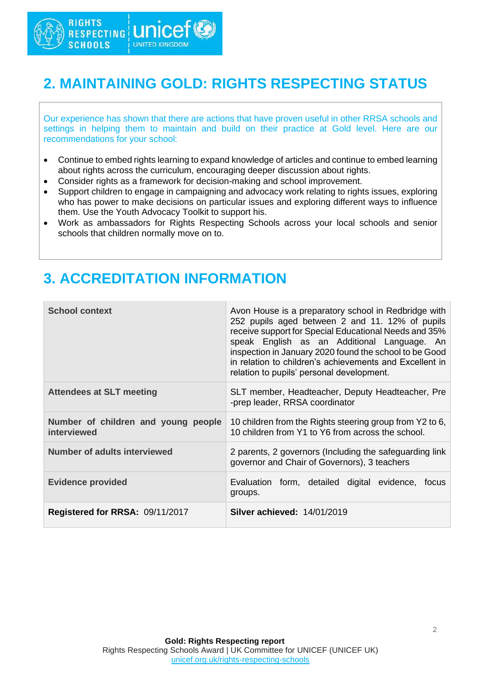

# **2. MAINTAINING GOLD: RIGHTS RESPECTING STATUS**

Our experience has shown that there are actions that have proven useful in other RRSA schools and settings in helping them to maintain and build on their practice at Gold level. Here are our recommendations for your school:

- Continue to embed rights learning to expand knowledge of articles and continue to embed learning about rights across the curriculum, encouraging deeper discussion about rights.
- Consider rights as a framework for decision-making and school improvement.
- Support children to engage in campaigning and advocacy work relating to rights issues, exploring who has power to make decisions on particular issues and exploring different ways to influence them. Use the Youth Advocacy Toolkit to support his.
- Work as ambassadors for Rights Respecting Schools across your local schools and senior schools that children normally move on to.

### **3. ACCREDITATION INFORMATION**

| <b>School context</b>                              | Avon House is a preparatory school in Redbridge with<br>252 pupils aged between 2 and 11. 12% of pupils<br>receive support for Special Educational Needs and 35%<br>speak English as an Additional Language. An<br>inspection in January 2020 found the school to be Good<br>in relation to children's achievements and Excellent in<br>relation to pupils' personal development. |
|----------------------------------------------------|-----------------------------------------------------------------------------------------------------------------------------------------------------------------------------------------------------------------------------------------------------------------------------------------------------------------------------------------------------------------------------------|
| <b>Attendees at SLT meeting</b>                    | SLT member, Headteacher, Deputy Headteacher, Pre<br>-prep leader, RRSA coordinator                                                                                                                                                                                                                                                                                                |
| Number of children and young people<br>interviewed | 10 children from the Rights steering group from Y2 to 6,<br>10 children from Y1 to Y6 from across the school.                                                                                                                                                                                                                                                                     |
| <b>Number of adults interviewed</b>                | 2 parents, 2 governors (Including the safeguarding link<br>governor and Chair of Governors), 3 teachers                                                                                                                                                                                                                                                                           |
| <b>Evidence provided</b>                           | Evaluation form, detailed digital evidence, focus<br>groups.                                                                                                                                                                                                                                                                                                                      |
| Registered for RRSA: 09/11/2017                    | Silver achieved: 14/01/2019                                                                                                                                                                                                                                                                                                                                                       |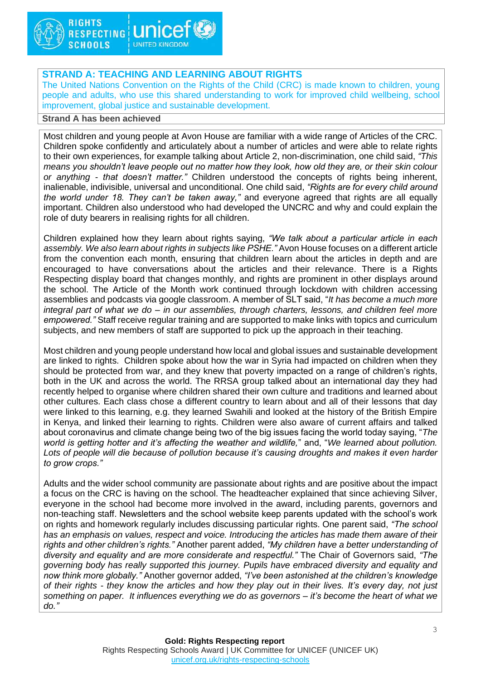

### **STRAND A: TEACHING AND LEARNING ABOUT RIGHTS**

The United Nations Convention on the Rights of the Child (CRC) is made known to children, young people and adults, who use this shared understanding to work for improved child wellbeing, school improvement, global justice and sustainable development.

#### **Strand A has been achieved**

Most children and young people at Avon House are familiar with a wide range of Articles of the CRC. Children spoke confidently and articulately about a number of articles and were able to relate rights to their own experiences, for example talking about Article 2, non-discrimination, one child said, *"This means you shouldn't leave people out no matter how they look, how old they are, or their skin colour or anything - that doesn't matter."* Children understood the concepts of rights being inherent, inalienable, indivisible, universal and unconditional. One child said, *"Rights are for every child around the world under 18. They can't be taken away,"* and everyone agreed that rights are all equally important. Children also understood who had developed the UNCRC and why and could explain the role of duty bearers in realising rights for all children.

Children explained how they learn about rights saying, *"We talk about a particular article in each assembly. We also learn about rights in subjects like PSHE."* Avon House focuses on a different article from the convention each month, ensuring that children learn about the articles in depth and are encouraged to have conversations about the articles and their relevance. There is a Rights Respecting display board that changes monthly, and rights are prominent in other displays around the school. The Article of the Month work continued through lockdown with children accessing assemblies and podcasts via google classroom. A member of SLT said, "*It has become a much more integral part of what we do – in our assemblies, through charters, lessons, and children feel more empowered."* Staff receive regular training and are supported to make links with topics and curriculum subjects, and new members of staff are supported to pick up the approach in their teaching.

Most children and young people understand how local and global issues and sustainable development are linked to rights. Children spoke about how the war in Syria had impacted on children when they should be protected from war, and they knew that poverty impacted on a range of children's rights, both in the UK and across the world. The RRSA group talked about an international day they had recently helped to organise where children shared their own culture and traditions and learned about other cultures. Each class chose a different country to learn about and all of their lessons that day were linked to this learning, e.g. they learned Swahili and looked at the history of the British Empire in Kenya, and linked their learning to rights. Children were also aware of current affairs and talked about coronavirus and climate change being two of the big issues facing the world today saying, "*The world is getting hotter and it's affecting the weather and wildlife,*" and, "*We learned about pollution. Lots of people will die because of pollution because it's causing droughts and makes it even harder to grow crops."*

Adults and the wider school community are passionate about rights and are positive about the impact a focus on the CRC is having on the school. The headteacher explained that since achieving Silver, everyone in the school had become more involved in the award, including parents, governors and non-teaching staff. Newsletters and the school website keep parents updated with the school's work on rights and homework regularly includes discussing particular rights. One parent said, *"The school has an emphasis on values, respect and voice. Introducing the articles has made them aware of their rights and other children's rights."* Another parent added, *"My children have a better understanding of diversity and equality and are more considerate and respectful."* The Chair of Governors said, *"The governing body has really supported this journey. Pupils have embraced diversity and equality and now think more globally."* Another governor added, *"I've been astonished at the children's knowledge of their rights - they know the articles and how they play out in their lives. It's every day, not just something on paper. It influences everything we do as governors – it's become the heart of what we do."*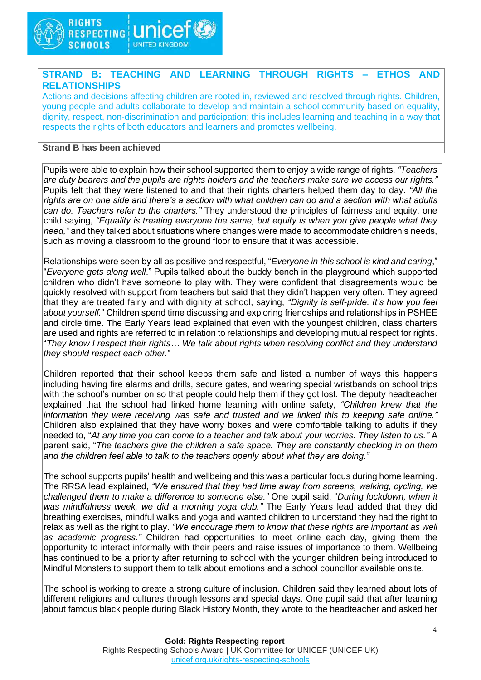

#### **STRAND B: TEACHING AND LEARNING THROUGH RIGHTS – ETHOS AND RELATIONSHIPS**

Actions and decisions affecting children are rooted in, reviewed and resolved through rights. Children, young people and adults collaborate to develop and maintain a school community based on equality, dignity, respect, non-discrimination and participation; this includes learning and teaching in a way that respects the rights of both educators and learners and promotes wellbeing.

#### **Strand B has been achieved**

Pupils were able to explain how their school supported them to enjoy a wide range of rights. *"Teachers are duty bearers and the pupils are rights holders and the teachers make sure we access our rights."* Pupils felt that they were listened to and that their rights charters helped them day to day. *"All the rights are on one side and there's a section with what children can do and a section with what adults can do. Teachers refer to the charters."* They understood the principles of fairness and equity, one child saying, *"Equality is treating everyone the same, but equity is when you give people what they need,"* and they talked about situations where changes were made to accommodate children's needs, such as moving a classroom to the ground floor to ensure that it was accessible.

Relationships were seen by all as positive and respectful, "*Everyone in this school is kind and caring*," "*Everyone gets along well*." Pupils talked about the buddy bench in the playground which supported children who didn't have someone to play with. They were confident that disagreements would be quickly resolved with support from teachers but said that they didn't happen very often. They agreed that they are treated fairly and with dignity at school, saying, *"Dignity is self-pride. It's how you feel about yourself.*" Children spend time discussing and exploring friendships and relationships in PSHEE and circle time. The Early Years lead explained that even with the youngest children, class charters are used and rights are referred to in relation to relationships and developing mutual respect for rights. "*They know I respect their rights*… *We talk about rights when resolving conflict and they understand they should respect each other.*"

Children reported that their school keeps them safe and listed a number of ways this happens including having fire alarms and drills, secure gates, and wearing special wristbands on school trips with the school's number on so that people could help them if they got lost. The deputy headteacher explained that the school had linked home learning with online safety, *"Children knew that the information they were receiving was safe and trusted and we linked this to keeping safe online."* Children also explained that they have worry boxes and were comfortable talking to adults if they needed to, "*At any time you can come to a teacher and talk about your worries. They listen to us."* A parent said, "*The teachers give the children a safe space. They are constantly checking in on them and the children feel able to talk to the teachers openly about what they are doing."*

The school supports pupils' health and wellbeing and this was a particular focus during home learning. The RRSA lead explained, *"We ensured that they had time away from screens, walking, cycling, we challenged them to make a difference to someone else."* One pupil said, "*During lockdown, when it was mindfulness week, we did a morning yoga club."* The Early Years lead added that they did breathing exercises, mindful walks and yoga and wanted children to understand they had the right to relax as well as the right to play. *"We encourage them to know that these rights are important as well as academic progress."* Children had opportunities to meet online each day, giving them the opportunity to interact informally with their peers and raise issues of importance to them. Wellbeing has continued to be a priority after returning to school with the younger children being introduced to Mindful Monsters to support them to talk about emotions and a school councillor available onsite.

The school is working to create a strong culture of inclusion. Children said they learned about lots of different religions and cultures through lessons and special days. One pupil said that after learning about famous black people during Black History Month, they wrote to the headteacher and asked her